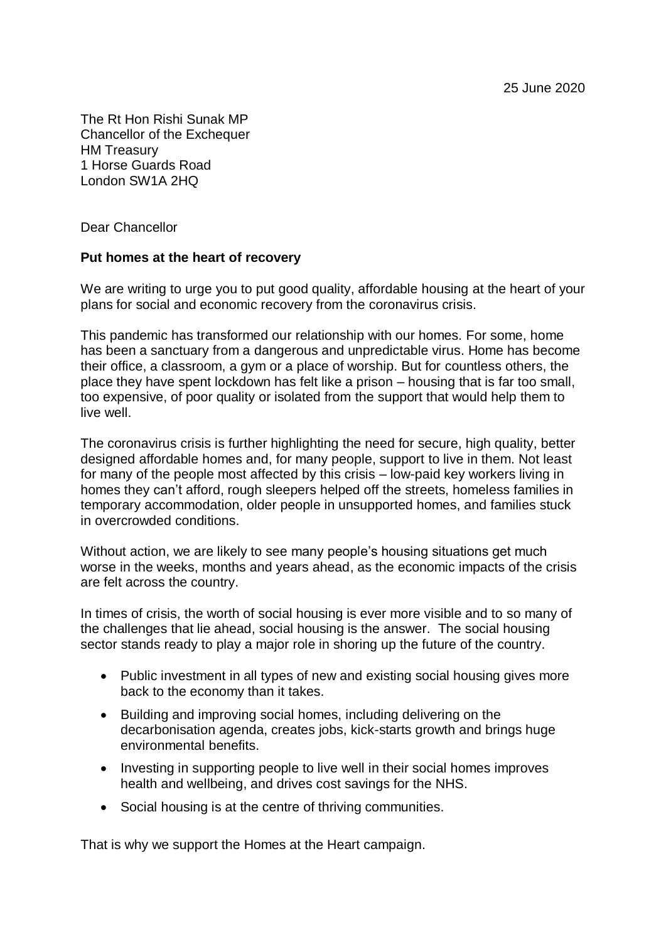25 June 2020

The Rt Hon Rishi Sunak MP Chancellor of the Exchequer HM Treasury 1 Horse Guards Road London SW1A 2HQ

Dear Chancellor

## **Put homes at the heart of recovery**

We are writing to urge you to put good quality, affordable housing at the heart of your plans for social and economic recovery from the coronavirus crisis.

This pandemic has transformed our relationship with our homes. For some, home has been a sanctuary from a dangerous and unpredictable virus. Home has become their office, a classroom, a gym or a place of worship. But for countless others, the place they have spent lockdown has felt like a prison – housing that is far too small, too expensive, of poor quality or isolated from the support that would help them to live well.

The coronavirus crisis is further highlighting the need for secure, high quality, better designed affordable homes and, for many people, support to live in them. Not least for many of the people most affected by this crisis – low-paid key workers living in homes they can't afford, rough sleepers helped off the streets, homeless families in temporary accommodation, older people in unsupported homes, and families stuck in overcrowded conditions.

Without action, we are likely to see many people's housing situations get much worse in the weeks, months and years ahead, as the economic impacts of the crisis are felt across the country.

In times of crisis, the worth of social housing is ever more visible and to so many of the challenges that lie ahead, social housing is the answer. The social housing sector stands ready to play a major role in shoring up the future of the country.

- Public investment in all types of new and existing social housing gives more back to the economy than it takes.
- Building and improving social homes, including delivering on the decarbonisation agenda, creates jobs, kick-starts growth and brings huge environmental benefits.
- Investing in supporting people to live well in their social homes improves health and wellbeing, and drives cost savings for the NHS.
- Social housing is at the centre of thriving communities.

That is why we support the Homes at the Heart campaign.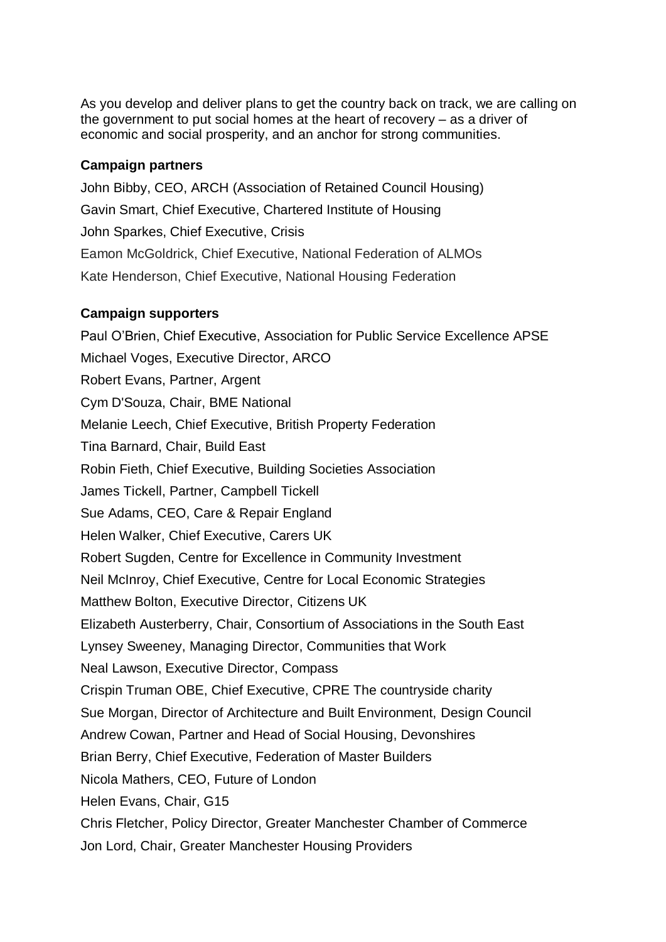As you develop and deliver plans to get the country back on track, we are calling on the government to put social homes at the heart of recovery – as a driver of economic and social prosperity, and an anchor for strong communities.

## **Campaign partners**

John Bibby, CEO, ARCH (Association of Retained Council Housing) Gavin Smart, Chief Executive, Chartered Institute of Housing John Sparkes, Chief Executive, Crisis Eamon McGoldrick, Chief Executive, National Federation of ALMOs Kate Henderson, Chief Executive, National Housing Federation

## **Campaign supporters**

Paul O'Brien, Chief Executive, Association for Public Service Excellence APSE Michael Voges, Executive Director, ARCO Robert Evans, Partner, Argent Cym D'Souza, Chair, BME National Melanie Leech, Chief Executive, British Property Federation Tina Barnard, Chair, Build East Robin Fieth, Chief Executive, Building Societies Association James Tickell, Partner, Campbell Tickell Sue Adams, CEO, Care & Repair England Helen Walker, Chief Executive, Carers UK Robert Sugden, Centre for Excellence in Community Investment Neil McInroy, Chief Executive, Centre for Local Economic Strategies Matthew Bolton, Executive Director, Citizens UK Elizabeth Austerberry, Chair, Consortium of Associations in the South East Lynsey Sweeney, Managing Director, Communities that Work Neal Lawson, Executive Director, Compass Crispin Truman OBE, Chief Executive, CPRE The countryside charity Sue Morgan, Director of Architecture and Built Environment, Design Council Andrew Cowan, Partner and Head of Social Housing, Devonshires Brian Berry, Chief Executive, Federation of Master Builders Nicola Mathers, CEO, Future of London Helen Evans, Chair, G15 Chris Fletcher, Policy Director, Greater Manchester Chamber of Commerce Jon Lord, Chair, Greater Manchester Housing Providers